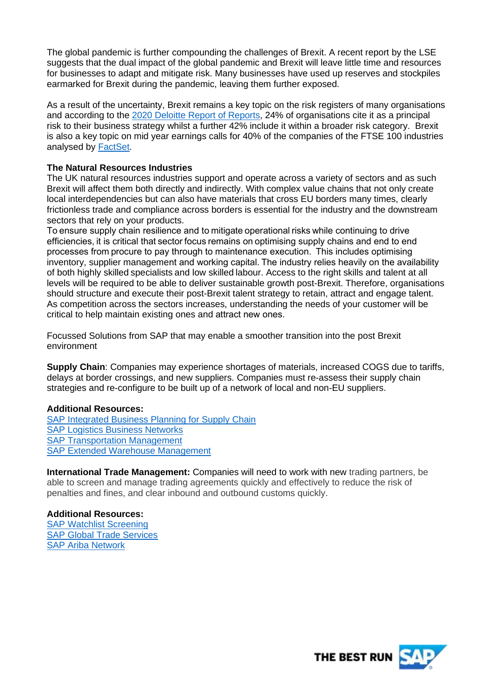The global pandemic is further compounding the challenges of Brexit. A recent report by the LSE suggests that the dual impact of the global pandemic and Brexit will leave little time and resources for businesses to adapt and mitigate risk. Many businesses have used up reserves and stockpiles earmarked for Brexit during the pandemic, leaving them further exposed.

As a result of the uncertainty, Brexit remains a key topic on the risk registers of many organisations and according to the [2020 Deloitte Report of Reports,](https://www2.deloitte.com/uk/en/pages/audit/articles/annual-report-insights-2020.html) 24% of organisations cite it as a principal risk to their business strategy whilst a further 42% include it within a broader risk category. Brexit is also a key topic on mid year earnings calls for 40% of the companies of the FTSE 100 industries analysed by [FactSet.](https://insight.factset.com/which-uk-industries-will-likely-be-impacted-by-brexit)

# **The Natural Resources Industries**

The UK natural resources industries support and operate across a variety of sectors and as such Brexit will affect them both directly and indirectly. With complex value chains that not only create local interdependencies but can also have materials that cross EU borders many times, clearly frictionless trade and compliance across borders is essential for the industry and the downstream sectors that rely on your products.

To ensure supply chain resilience and to mitigate operational risks while continuing to drive efficiencies, it is critical that sector focus remains on optimising supply chains and end to end processes from procure to pay through to maintenance execution.  This includes optimising inventory, supplier management and working capital. The industry relies heavily on the availability of both highly skilled specialists and low skilled labour. Access to the right skills and talent at all levels will be required to be able to deliver sustainable growth post-Brexit. Therefore, organisations should structure and execute their post-Brexit talent strategy to retain, attract and engage talent. As competition across the sectors increases, understanding the needs of your customer will be critical to help maintain existing ones and attract new ones. 

Focussed Solutions from SAP that may enable a smoother transition into the post Brexit environment

**Supply Chain**: Companies may experience shortages of materials, increased COGS due to tariffs, delays at border crossings, and new suppliers. Companies must re-assess their supply chain strategies and re-configure to be built up of a network of local and non-EU suppliers.

## **Additional Resources:**

[SAP Integrated Business Planning for Supply Chain](https://www.sap.com/products/integrated-business-planning.html?btp=5ad5c7ed-1906-421e-9ace-d2a666560413) [SAP Logistics Business Networks](https://www.sap.com/products/logistics-business-network.html?btp=5ad5c7ed-1906-421e-9ace-d2a666560413) **[SAP Transportation Management](https://www.sap.com/products/transportation-logistics.html?btp=5ad5c7ed-1906-421e-9ace-d2a666560413)** [SAP Extended Warehouse Management](https://www.sap.com/products/extended-warehouse-management.html?btp=5ad5c7ed-1906-421e-9ace-d2a666560413)

**International Trade Management:** Companies will need to work with new trading partners, be able to screen and manage trading agreements quickly and effectively to reduce the risk of penalties and fines, and clear inbound and outbound customs quickly.

## **Additional Resources:**

[SAP Watchlist Screening](https://www.sap.com/products/watch-list-screening.html?btp=5ad5c7ed-1906-421e-9ace-d2a666560413) [SAP Global Trade Services](https://www.sap.com/products/global-trade-management.html?btp=5ad5c7ed-1906-421e-9ace-d2a666560413) [SAP Ariba Network](https://www.ariba.com/ariba-network)